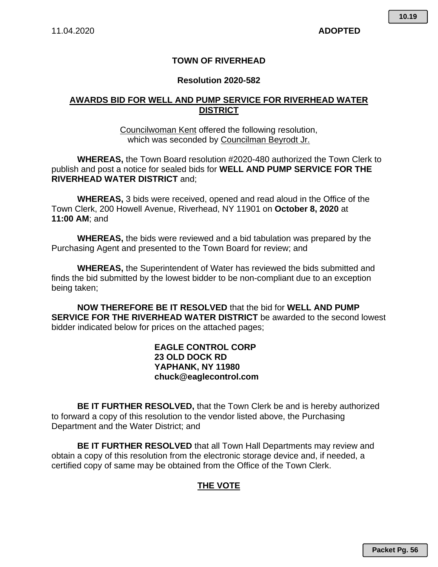# **TOWN OF RIVERHEAD**

#### **Resolution 2020-582**

### **AWARDS BID FOR WELL AND PUMP SERVICE FOR RIVERHEAD WATER DISTRICT**

Councilwoman Kent offered the following resolution, which was seconded by Councilman Beyrodt Jr.

**WHEREAS,** the Town Board resolution #2020-480 authorized the Town Clerk to publish and post a notice for sealed bids for **WELL AND PUMP SERVICE FOR THE RIVERHEAD WATER DISTRICT** and;

**WHEREAS,** 3 bids were received, opened and read aloud in the Office of the Town Clerk, 200 Howell Avenue, Riverhead, NY 11901 on **October 8, 2020** at **11:00 AM**; and

**WHEREAS,** the bids were reviewed and a bid tabulation was prepared by the Purchasing Agent and presented to the Town Board for review; and

**WHEREAS,** the Superintendent of Water has reviewed the bids submitted and finds the bid submitted by the lowest bidder to be non-compliant due to an exception being taken;

**NOW THEREFORE BE IT RESOLVED** that the bid for **WELL AND PUMP SERVICE FOR THE RIVERHEAD WATER DISTRICT** be awarded to the second lowest bidder indicated below for prices on the attached pages;

### **EAGLE CONTROL CORP 23 OLD DOCK RD YAPHANK, NY 11980 chuck@eaglecontrol.com**

**BE IT FURTHER RESOLVED,** that the Town Clerk be and is hereby authorized to forward a copy of this resolution to the vendor listed above, the Purchasing Department and the Water District; and

**BE IT FURTHER RESOLVED** that all Town Hall Departments may review and obtain a copy of this resolution from the electronic storage device and, if needed, a certified copy of same may be obtained from the Office of the Town Clerk.

# **THE VOTE**

**Packet Pg. 56**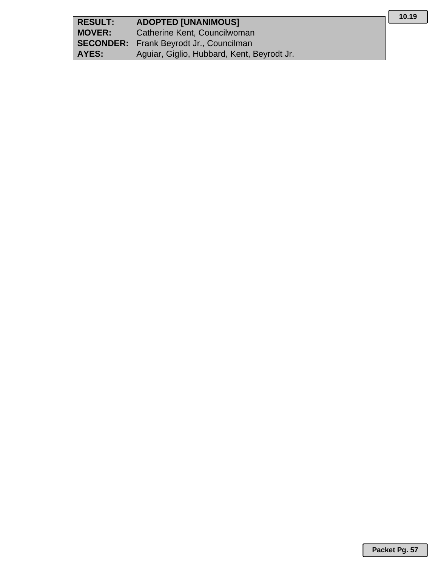| <b>RESULT:</b> | <b>ADOPTED [UNANIMOUS]</b>                     |
|----------------|------------------------------------------------|
| <b>MOVER:</b>  | Catherine Kent, Councilwoman                   |
|                | <b>SECONDER:</b> Frank Beyrodt Jr., Councilman |
| AYES:          | Aguiar, Giglio, Hubbard, Kent, Beyrodt Jr.     |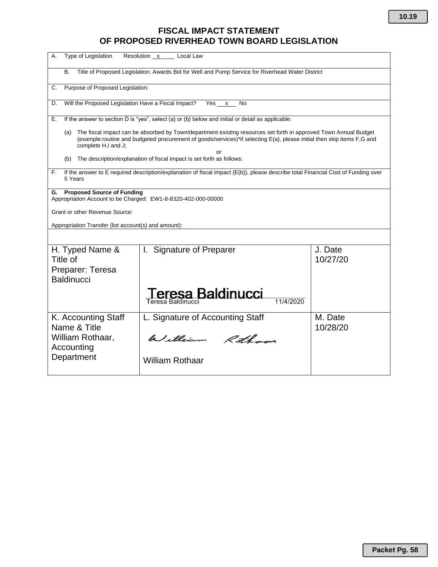# **FISCAL IMPACT STATEMENT OF PROPOSED RIVERHEAD TOWN BOARD LEGISLATION**

| Type of Legislation<br>А.                                                                                                                         | Resolution x Local Law                                                                                                                                                                                                                     |                     |
|---------------------------------------------------------------------------------------------------------------------------------------------------|--------------------------------------------------------------------------------------------------------------------------------------------------------------------------------------------------------------------------------------------|---------------------|
| B.                                                                                                                                                | Title of Proposed Legislation: Awards Bid for Well and Pump Service for Riverhead Water District                                                                                                                                           |                     |
| Purpose of Proposed Legislation:<br>C.                                                                                                            |                                                                                                                                                                                                                                            |                     |
| Will the Proposed Legislation Have a Fiscal Impact?<br>D.                                                                                         | Yes x<br>No                                                                                                                                                                                                                                |                     |
| Е.                                                                                                                                                | If the answer to section D is "yes", select (a) or (b) below and initial or detail as applicable:                                                                                                                                          |                     |
| (a)<br>complete H,I and J;                                                                                                                        | The fiscal impact can be absorbed by Town/department existing resources set forth in approved Town Annual Budget<br>(example:routine and budgeted procurement of goods/services)*if selecting E(a), please initial then skip items F,G and |                     |
| (b)                                                                                                                                               | or<br>The description/explanation of fiscal impact is set forth as follows:                                                                                                                                                                |                     |
| F.<br>5 Years                                                                                                                                     | If the answer to E required description/explanation of fiscal impact (E(b)), please describe total Financial Cost of Funding over                                                                                                          |                     |
| <b>Proposed Source of Funding</b><br>G.<br>Appropriation Account to be Charged: EW1-8-8320-402-000-00000<br><b>Grant or other Revenue Source:</b> |                                                                                                                                                                                                                                            |                     |
| Appropriation Transfer (list account(s) and amount):                                                                                              |                                                                                                                                                                                                                                            |                     |
|                                                                                                                                                   |                                                                                                                                                                                                                                            |                     |
| H. Typed Name &<br>Title of<br>Preparer: Teresa<br><b>Baldinucci</b>                                                                              | Signature of Preparer<br>$\mathbf{L}$                                                                                                                                                                                                      | J. Date<br>10/27/20 |
|                                                                                                                                                   | eresa Baldinucci<br>11/4/2020<br>Teresa Baldinucci                                                                                                                                                                                         |                     |
| K. Accounting Staff<br>Name & Title                                                                                                               | L. Signature of Accounting Staff                                                                                                                                                                                                           | M. Date<br>10/28/20 |
| William Rothaar,<br>Accounting                                                                                                                    | William Ratham                                                                                                                                                                                                                             |                     |
| Department                                                                                                                                        | <b>William Rothaar</b>                                                                                                                                                                                                                     |                     |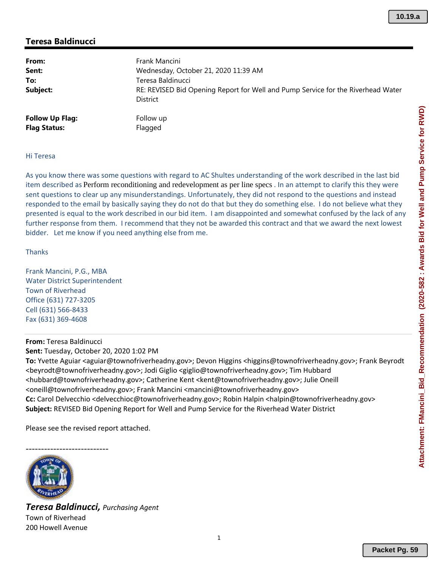## **Teresa Baldinucci**

| From:<br>Sent:<br>To:<br>Subject: | Frank Mancini<br>Wednesday, October 21, 2020 11:39 AM<br>Teresa Baldinucci<br>RE: REVISED Bid Opening Report for Well and Pump Service for the Riverhead Water<br><b>District</b> |
|-----------------------------------|-----------------------------------------------------------------------------------------------------------------------------------------------------------------------------------|
| <b>Follow Up Flag:</b>            | Follow up                                                                                                                                                                         |
| <b>Flag Status:</b>               | Flagged                                                                                                                                                                           |

#### Hi Teresa

As you know there was some questions with regard to AC Shultes understanding of the work described in the last bid item described as Perform reconditioning and redevelopment as per line specs . In an attempt to clarify this they were sent questions to clear up any misunderstandings. Unfortunately, they did not respond to the questions and instead responded to the email by basically saying they do not do that but they do something else. I do not believe what they presented is equal to the work described in our bid item. I am disappointed and somewhat confused by the lack of any further response from them. I recommend that they not be awarded this contract and that we award the next lowest bidder. Let me know if you need anything else from me.

Thanks

Frank Mancini, P.G., MBA Water District Superintendent Town of Riverhead Office (631) 727‐3205 Cell (631) 566‐8433 Fax (631) 369‐4608

**From:** Teresa Baldinucci **Sent:** Tuesday, October 20, 2020 1:02 PM **To:** Yvette Aguiar <aguiar@townofriverheadny.gov>; Devon Higgins <higgins@townofriverheadny.gov>; Frank Beyrodt <beyrodt@townofriverheadny.gov>; Jodi Giglio <giglio@townofriverheadny.gov>; Tim Hubbard <hubbard@townofriverheadny.gov>; Catherine Kent <kent@townofriverheadny.gov>; Julie Oneill <oneill@townofriverheadny.gov>; Frank Mancini <mancini@townofriverheadny.gov> **Cc:** Carol Delvecchio <delvecchioc@townofriverheadny.gov>; Robin Halpin <halpin@townofriverheadny.gov> **Subject:** REVISED Bid Opening Report for Well and Pump Service for the Riverhead Water District

Please see the revised report attached.



*Teresa Baldinucci, Purchasing Agent* Town of Riverhead 200 Howell Avenue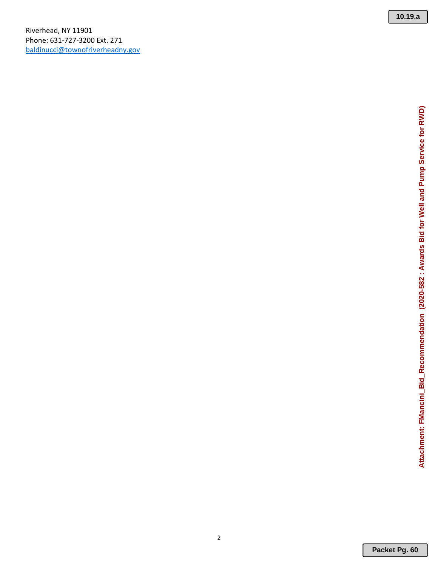**10.19.a**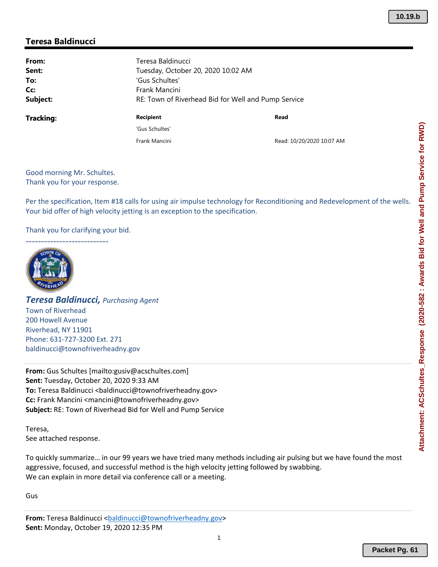## **Teresa Baldinucci**

| From:     | Teresa Baldinucci |                                                     |  |  |
|-----------|-------------------|-----------------------------------------------------|--|--|
| Sent:     |                   | Tuesday, October 20, 2020 10:02 AM                  |  |  |
| To:       | 'Gus Schultes'    |                                                     |  |  |
| Cc:       | Frank Mancini     |                                                     |  |  |
| Subject:  |                   | RE: Town of Riverhead Bid for Well and Pump Service |  |  |
| Tracking: | <b>Recipient</b>  | Read                                                |  |  |
|           | 'Gus Schultes'    |                                                     |  |  |
|           | Frank Mancini     | Read: 10/20/2020 10:07 AM                           |  |  |

Good morning Mr. Schultes. Thank you for your response.

Per the specification, Item #18 calls for using air impulse technology for Reconditioning and Redevelopment of the wells. Your bid offer of high velocity jetting is an exception to the specification.

Thank you for clarifying your bid.



*Teresa Baldinucci, Purchasing Agent* Town of Riverhead 200 Howell Avenue Riverhead, NY 11901 Phone: 631‐727‐3200 Ext. 271 baldinucci@townofriverheadny.gov

**From:** Gus Schultes [mailto:gusiv@acschultes.com] **Sent:** Tuesday, October 20, 2020 9:33 AM To: Teresa Baldinucci <br/>baldinucci@townofriverheadny.gov> **Cc:** Frank Mancini <mancini@townofriverheadny.gov> **Subject:** RE: Town of Riverhead Bid for Well and Pump Service

Teresa, See attached response.

To quickly summarize… in our 99 years we have tried many methods including air pulsing but we have found the most aggressive, focused, and successful method is the high velocity jetting followed by swabbing. We can explain in more detail via conference call or a meeting.

Gus

**From:** Teresa Baldinucci <br/>baldinucci@townofriverheadny.gov> **Sent:** Monday, October 19, 2020 12:35 PM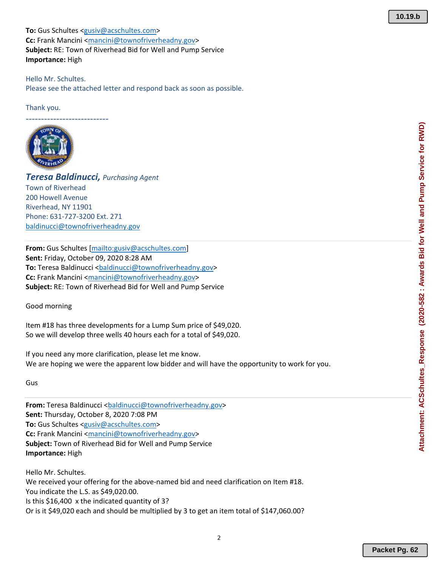**To:** Gus Schultes <gusiv@acschultes.com> **Cc:** Frank Mancini <mancini@townofriverheadny.gov> **Subject:** RE: Town of Riverhead Bid for Well and Pump Service **Importance:** High

Hello Mr. Schultes. Please see the attached letter and respond back as soon as possible.

Thank you.

**−−−−−−−−−−−−−−−−−−−−−−−−−−−−** 



*Teresa Baldinucci, Purchasing Agent* Town of Riverhead 200 Howell Avenue Riverhead, NY 11901 Phone: 631‐727‐3200 Ext. 271 baldinucci@townofriverheadny.gov

**From:** Gus Schultes [mailto:gusiv@acschultes.com] **Sent:** Friday, October 09, 2020 8:28 AM To: Teresa Baldinucci <br/>baldinucci@townofriverheadny.gov> **Cc:** Frank Mancini <mancini@townofriverheadny.gov> **Subject:** RE: Town of Riverhead Bid for Well and Pump Service

Good morning

Item #18 has three developments for a Lump Sum price of \$49,020. So we will develop three wells 40 hours each for a total of \$49,020.

If you need any more clarification, please let me know. We are hoping we were the apparent low bidder and will have the opportunity to work for you.

Gus

From: Teresa Baldinucci <br/>baldinucci@townofriverheadny.gov> **Sent:** Thursday, October 8, 2020 7:08 PM **To:** Gus Schultes <gusiv@acschultes.com> **Cc:** Frank Mancini <mancini@townofriverheadny.gov> **Subject:** Town of Riverhead Bid for Well and Pump Service **Importance:** High

Hello Mr. Schultes. We received your offering for the above-named bid and need clarification on Item #18. You indicate the L.S. as \$49,020.00. Is this \$16,400 x the indicated quantity of 3? Or is it \$49,020 each and should be multiplied by 3 to get an item total of \$147,060.00?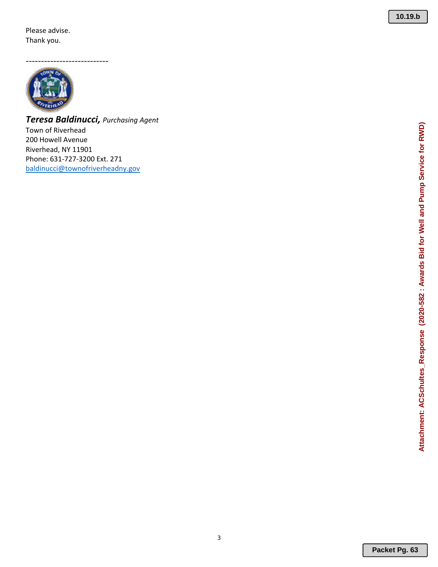Please advise. Thank you.

‐‐‐‐‐‐‐‐‐‐‐‐‐‐‐‐‐‐‐‐‐‐‐‐‐‐‐



*Teresa Baldinucci, Purchasing Agent* Town of Riverhead 200 Howell Avenue Riverhead, NY 11901 Phone: 631 ‐727 ‐3200 Ext. 271 baldinucci@townofriverheadny.gov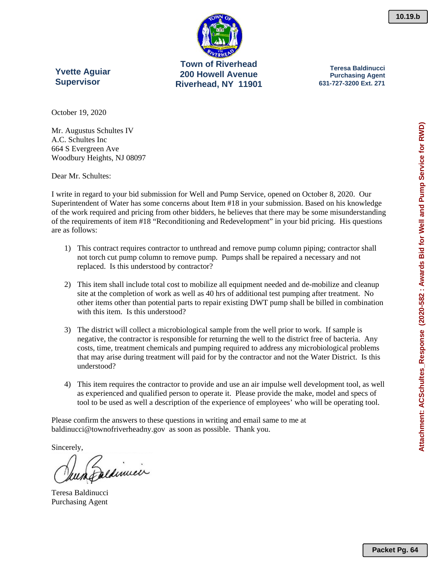**Town of Riverhead 200 Howell Avenue Riverhead, NY 11901** 

**Yvette Aguiar Supervisor** 

**Teresa Baldinucci Purchasing Agent 631-727-3200 Ext. 271** 

**10.19.b**

October 19, 2020

Mr. Augustus Schultes IV A.C. Schultes Inc 664 S Evergreen Ave Woodbury Heights, NJ 08097

Dear Mr. Schultes:

I write in regard to your bid submission for Well and Pump Service, opened on October 8, 2020. Our Superintendent of Water has some concerns about Item #18 in your submission. Based on his knowledge of the work required and pricing from other bidders, he believes that there may be some misunderstanding of the requirements of item #18 "Reconditioning and Redevelopment" in your bid pricing. His questions are as follows:

- 1) This contract requires contractor to unthread and remove pump column piping; contractor shall not torch cut pump column to remove pump. Pumps shall be repaired a necessary and not replaced. Is this understood by contractor?
- 2) This item shall include total cost to mobilize all equipment needed and de-mobilize and cleanup site at the completion of work as well as 40 hrs of additional test pumping after treatment. No other items other than potential parts to repair existing DWT pump shall be billed in combination with this item. Is this understood?
- 3) The district will collect a microbiological sample from the well prior to work. If sample is negative, the contractor is responsible for returning the well to the district free of bacteria. Any costs, time, treatment chemicals and pumping required to address any microbiological problems that may arise during treatment will paid for by the contractor and not the Water District. Is this understood?
- 4) This item requires the contractor to provide and use an air impulse well development tool, as well as experienced and qualified person to operate it. Please provide the make, model and specs of tool to be used as well a description of the experience of employees' who will be operating tool.

Please confirm the answers to these questions in writing and email same to me at baldinucci@townofriverheadny.gov as soon as possible. Thank you.

Sincerely,

Daldinnier

Teresa Baldinucci Purchasing Agent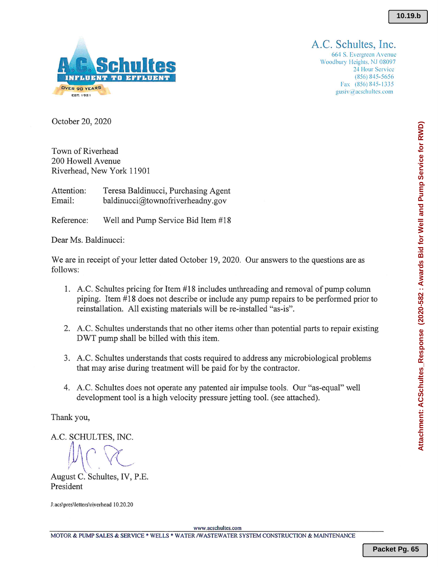

A.C. Schultes, Inc.

664 S. Evergreen Avenue Woodbury Heights, NJ 08097 24 Hour Service  $(856) 845 - 5656$ Fax (856) 845-1335 gusiv@acschultes.com

October 20, 2020

Town of Riverhead 200 Howell Avenue Riverhead, New York 11901

Attention: Teresa Baldinucci, Purchasing Agent Email: baldinucci@townofriverheadny.gov

Reference: Well and Pump Service Bid Item #18

Dear Ms. Baldinucci:

We are in receipt of your letter dated October 19, 2020. Our answers to the questions are as follows:

- 1. A.C. Schultes pricing for Item #18 includes unthreading and removal of pump column piping. Item #18 does not describe or include any pump repairs to be performed prior to reinstallation. All existing materials will be re-installed "as-is".
- 2. A.C. Schultes understands that no other items other than potential parts to repair existing DWT pump shall be billed with this item.
- 3. A.C. Schultes understands that costs required to address any microbiological problems that may arise during treatment will be paid for by the contractor.
- 4. A.C. Schultes does not operate any patented air impulse tools. Our "as-equal" well development tool is a high velocity pressure jetting tool. (see attached).

Thank you,

A.C. SCHULTES, INC.

August C. Schultes, IV, P.E. President

J:acs\pres\letters\riverhead 10.20.20

www.acschultes.com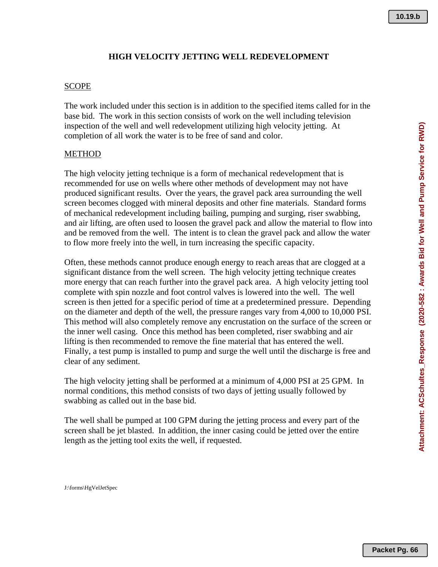### **HIGH VELOCITY JETTING WELL REDEVELOPMENT**

#### **SCOPE**

The work included under this section is in addition to the specified items called for in the base bid. The work in this section consists of work on the well including television inspection of the well and well redevelopment utilizing high velocity jetting. At completion of all work the water is to be free of sand and color.

### METHOD

The high velocity jetting technique is a form of mechanical redevelopment that is recommended for use on wells where other methods of development may not have produced significant results. Over the years, the gravel pack area surrounding the well screen becomes clogged with mineral deposits and other fine materials. Standard forms of mechanical redevelopment including bailing, pumping and surging, riser swabbing, and air lifting, are often used to loosen the gravel pack and allow the material to flow into and be removed from the well. The intent is to clean the gravel pack and allow the water to flow more freely into the well, in turn increasing the specific capacity.

Often, these methods cannot produce enough energy to reach areas that are clogged at a significant distance from the well screen. The high velocity jetting technique creates more energy that can reach further into the gravel pack area. A high velocity jetting tool complete with spin nozzle and foot control valves is lowered into the well. The well screen is then jetted for a specific period of time at a predetermined pressure. Depending on the diameter and depth of the well, the pressure ranges vary from 4,000 to 10,000 PSI. This method will also completely remove any encrustation on the surface of the screen or the inner well casing. Once this method has been completed, riser swabbing and air lifting is then recommended to remove the fine material that has entered the well. Finally, a test pump is installed to pump and surge the well until the discharge is free and clear of any sediment.

The high velocity jetting shall be performed at a minimum of 4,000 PSI at 25 GPM. In normal conditions, this method consists of two days of jetting usually followed by swabbing as called out in the base bid.

The well shall be pumped at 100 GPM during the jetting process and every part of the screen shall be jet blasted. In addition, the inner casing could be jetted over the entire length as the jetting tool exits the well, if requested.

J:\forms\HgVelJetSpec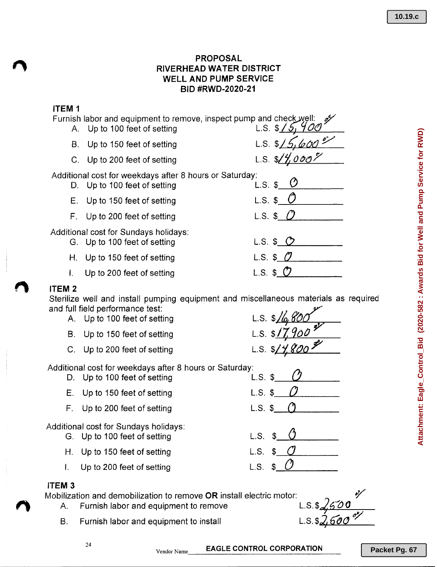## PROPOSAL RIVERHEAD WATER DISTRICT WELL AND PUMP SERVICE BID #RWD-2020-21

### ITEM 1

| Furnish labor and equipment to remove, inspect pump and check well:<br>A. Up to 100 feet of setting | $\mathscr{O}'$<br>L.S. \$15 |
|-----------------------------------------------------------------------------------------------------|-----------------------------|
| B. Up to 150 feet of setting                                                                        | L.S. $5/5$                  |
| C. Up to 200 feet of setting                                                                        | L.S. $\frac{1}{4}$          |
| Additional cost for weekdays after 8 hours or Saturday:<br>D. Up to 100 feet of setting             | $L.S.$ \$                   |
| E. Up to 150 feet of setting                                                                        | $L.S.$ \$                   |
| F. Up to 200 feet of setting                                                                        | L.S. \$ $\mathcal{C}$       |
| Additional cost for Sundays holidays:<br>G. Up to 100 feet of setting                               | L.S. $$O$                   |
| H. Up to 150 feet of setting                                                                        | L.S. $$0$                   |
| Up to 200 feet of setting                                                                           | $L.S.$ \$                   |
|                                                                                                     |                             |

## *t\* ITEM <sup>2</sup>

Sterilize well and install pumping equipment and miscellaneous materials as required and full field performance test:

- A. Up to 100 feet of setting **110** L.S. \$110; **110**
- B. Up to 150 feet of setting **EXACT B**. **CD**. **S**.  $\oint$
- C. Up to 200 feet of setting L.S. \$

Additional cost for weekdays after 8 hours or Saturday:

- D. Up to 100 feet of setting L.S.  $\sqrt{s}$
- E. Up to 150 feet of setting L.S.  $\mathfrak{s}$
- F. Up to 200 feet of setting L.S.  $\$$

Additional cost for Sundays holidays:

- G. Up to 100 feet of setting L.S. \$
- H. Up to 150 feet of setting L.S. \$
- I. Up to 200 feet of setting L.S. \$

### ITEM 3

Mobilization and demobilization to remove **OR** install electric motor:<br>A. Furnish labor and equipment to remove

- Furnish labor and equipment to remove
- B. Furnish labor and equipment to install



*(J o*

Vendor Name  $\qquad \qquad$  EAGLE CONTROL CORPORATION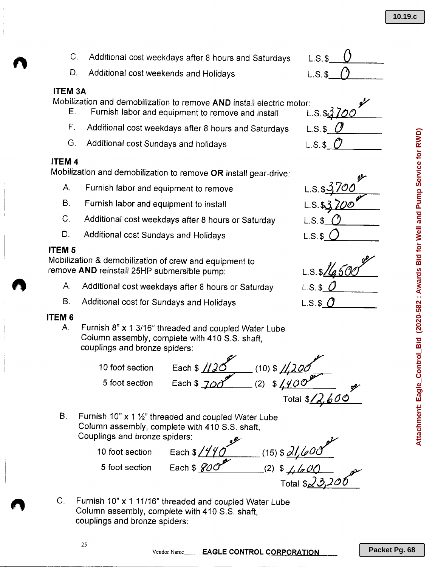**Packet Pg. 68**

- B. Furnish labor and equipment to install
- C. Additional cost weekdays after 8 hours or Saturday

Mobilization and demobilization to remove **OR** install gear-drive:

C. Additional cost weekdays after 8 hours and Saturdays

Furnish labor and equipment to remove and install

D. Additional cost weekends and Holidays

D. Additional cost Sundays and Holidays

A. Furnish labor and equipment to remove

#### ITEM 5

**ITEM 3A**

ITEM 4

Mobilization & demobilization of crew and equipment to remove **AND** reinstall 25HP submersible pump:

- A. Additional cost weekdays after 8 hours or Saturday
- B. Additional cost for Sundays and Holidays

#### ITEM 6

A. Furnish 8" x 1 3/16" threaded and coupled Water Lube Column assembly, complete with 410 S.S. shaft, couplings and bronze spiders:

10 foot section Each \$ 1126 (10) \$ 11,200 m 5 foot section Each \$ 700<sup>°</sup> (2) \$ 4400<sup>°</sup> <sup>0</sup> Total \$<u>/2,600</u>

B. Furnish 10"  $\times$  1  $\frac{1}{2}$ " threaded and coupled Water Lube Column assembly, complete with 410 S.S. shaft, Couplings and bronze spiders:



C. Furnish 10" x 1 11/16" threaded and coupled Water Lube Column assembly, complete with 410 S.S. shaft, couplings and bronze spiders:



**10.19.c**







25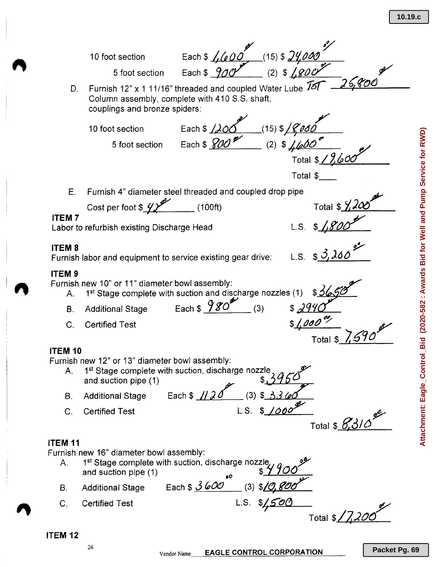*.,- !y* t section Each \$  $\frac{1}{1000}$  (15) \$  $\frac{24,000}{100}$ <br>5 foot section Each \$  $\frac{900}{100}$  (2) \$  $\frac{1800}{100}$  7 ( m) 10 foot section Each \$ *[,(e´O´O`\_\_\_\_*(15) \$ *[4,000* Furnish 12" <sup>x</sup> <sup>1</sup> *11/16"* threaded and coupled Water Lube 16(' *---li2~o/:...::t((~'O:;",;();;;,\_\_\_\_* D. Column assembly, complete with 410 S.S. shaft, **/**<br>' couplings and bronze spiders: 10 foot section Each \$ *J)O~ (15) \$/fPdO* (2)  $\frac{1}{4}600$ 5 foot section Each \$ *YO e* Total *\$/2&0/* Total \$\_\_ E. Furnish 4" diameter steel threaded and coupled drop pipe Cost per foot  $\sqrt[6]{2^2}$  (100ft) Total \$  $\frac{9}{4}$  dec ITEM 7 ...\_... ,<br>Labor to refurbish existing Discharge Head L.S. \$\_*/,8*°*OO* **ITEMS**  $LS. 83200$ Furnish labor and equipment to service existing gear drive: ITEM 9 Furnish new 10" or 11" diameter bowl assembly: 1<sup>st</sup> Stage complete with suction and discharge nozzles (1)  $$6/6$ B. Additional Stage Each \$  $980^{\frac{4}{2}}$  (3) *471* C. Certified Test \$ *4IJdtJ* '7 *,IV* Total \$ *1,590* **ITEM 10** Furnish new 12" or 13" diameter bowl assembly: A. 1<sup>st</sup> Stage complete with suction, discharge nozz<br>and suction pipe (1)<br>B. Additional Stage Each \$ <u>// 20</u> (3) \$ A. 1 $^{\mathsf{st}}$  Stage complete with suction, discharge nozzle  $_2$   $_\mathcal{A}$  . and suction pipe (1)  $\begin{array}{ccc} & & \ast \rightarrow & \ast \rightarrow & \ast \rightarrow \rightarrow \end{array}$ C. Certified Test Total \$ **8,310 ITEM 11** Furnish new 16" diameter bowl assembly: A. 1<sup>st</sup> Stage complete with suction, discharge nozzle and suction pipe (1) **6. and suction pipe (1) ,0 c** B. Additional Stage Each \$  $\frac{3600}{ }$  (3) \$10,800 C. Certified Test L.S. *\$45'0(3 Y* Total \$/7.2 **ITEM 12** 26

Vendor Name **EAGLE CONTROL CORPORATION** 

**Attachment: Eagle\_Control\_Bid (2020-582 : Awards Bid for Well and Pump Service for RWD)**Attachment: Eagle\_Control\_Bid (2020-582 : Awards Bid for Well and Pump Service for RWD)

**Packet Pg. 69**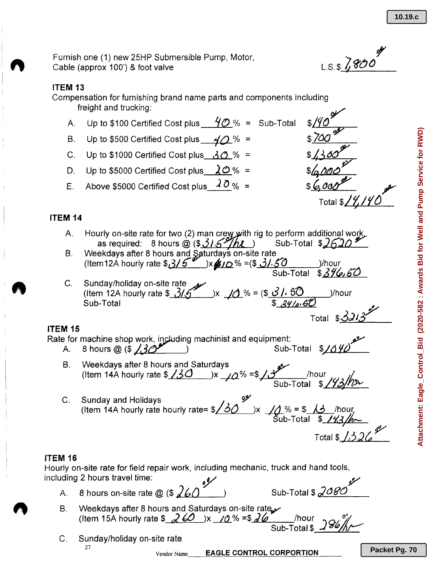Furnish one (1) new 25HP Submersible Pump, Motor, Cable (approx 100') & foot valve

#### **ITEM 13**

Compensation for furnishing brand name parts and components including freight and trucking:

- A. Up to \$100 Certified Cost plus  $\frac{40\%}{8}$  = Sub-Total
- B. Up to \$500 Certified Cost plus 40 % =
- C. Up to \$1000 Certified Cost plus  $\frac{30}{8}$  % =
- D. Up to \$5000 Certified Cost plus  $20% =$
- E. Above \$5000 Certified Cost plus *10%* <sup>=</sup>

### **ITEM 14**

- Hourly on-site rate for two (2) man crew with rig to perform additional wo<u>rk</u>. as required: 8 hours @ (\$*<u>31.5~/hL\_</u>) Sub-Total \$<u>2.52</u>* A.
- B. Weekdays after 8 hours and Saturdays on-site rate (Item12A hourly rate \$315<sup>%</sup>)x410%=(\$31.50 )/hour Sub-Total \$*<u>376,56</u>*
- Sunday/holiday on-site rate ~ (Item 12A hourly rate \$ *31ll* )x \_j(j\_% <sup>=</sup> (\$ *J I;* 50 )/hour SUb-Total <sup>17</sup> \$ *&'II/J'{;'() ~* Total \$321300 C.

### **ITEM 15**

Rate for machine shop wOr~ding machinist and equipment: *»:*

- A. 8 hours @ (\$ 130<sup>pt</sup>) Sub-Total \$1040
	- B. Weekdays after 8 hours and Saturdays / (Item 14A hourly rate \$130 )x 10% =\$13 /hour ... **Sub-Total \$/93/12**
- C. Sunday and Holidays  $\overline{y}$ ,  $\overline{y}$ (Item 14A hourly rate hourly rate=  $\frac{\sqrt{30}}{2}$  )x  $\frac{\sqrt{3}}{4}$ % = \$  $\frac{\sqrt{3}}{4}$  /hour Sub-Total \$ *ltd ~ I~* ¢/

#### ITEM **16**

Hourly on-site rate for field repair work, including mechanic, truck and hand tools, including 2 hours travel time:  $\sqrt{2}$ 

- A. 8 hours on-site rate @ (\$  $260$  *)* Sub-Total \$  $2080$
- B. Weekdays after 8 hours and Saturdays on-site rate Weekdays after 8 hours and Saturdays on-site rate *y*<br>(Item 15A hourly rate \$\_*2 60* \_)x \_/0 % =\$ 2*6* \_\_\_\_\_/hour \_\_\_*8/6 1*/ .
- C. Sunday/holiday on-site rate 27

Vendor Name **EAGLE CONTROL CORPORTION** 

o**f** L.S.\$ *Z ~tJ()* •

Total \$ 14/14

Sub-Total \$ *Z<sup>186</sup>/h/* 

Total \$ $1326$ <sup>\$</sup>